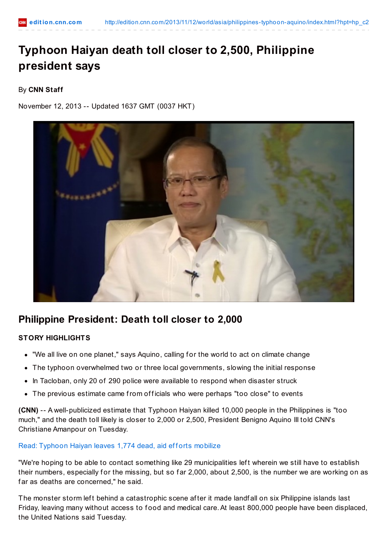# **Typhoon Haiyan death toll closer to 2,500, Philippine president says**

### By **CNN Staff**

November 12, 2013 -- Updated 1637 GMT (0037 HKT)



# **Philippine President: Death toll closer to 2,000**

#### **STORY HIGHLIGHTS**

- . "We all live on one planet," says Aquino, calling for the world to act on climate change
- The typhoon overwhelmed two or three local governments, slowing the initial response
- In Tacloban, only 20 of 290 police were available to respond when disaster struck
- The previous estimate came from officials who were perhaps "too close" to events

**(CNN)** -- A well-publicized estimate that Typhoon Haiyan killed 10,000 people in the Philippines is "too much," and the death toll likely is closer to 2,000 or 2,500, President Benigno Aquino III told CNN's Christiane Amanpour on Tuesday.

#### Read: [Typhoon](http://cnn.com/2013/11/12/world/asia/typhoon-haiyan/index.html?hpt=hp_t1) Haiyan leaves 1,774 dead, aid efforts mobilize

"We're hoping to be able to contact something like 29 municipalities left wherein we still have to establish their numbers, especially for the missing, but so far 2,000, about 2,500, is the number we are working on as far as deaths are concerned," he said.

The monster storm left behind a catastrophic scene after it made landfall on six Philippine islands last Friday, leaving many without access to food and medical care. At least 800,000 people have been displaced, the United Nations said Tuesday.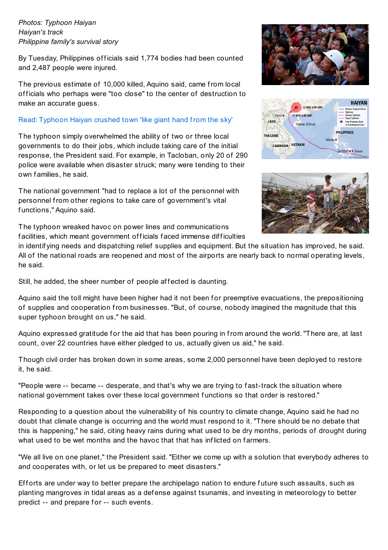*Photos: Typhoon Haiyan Haiyan's track Philippine family's survival story*

By Tuesday, Philippines of ficials said 1,774 bodies had been counted and 2,487 people were injured.

The previous estimate of 10,000 killed, Aquino said, came from local officials who perhaps were "too close" to the center of destruction to make an accurate guess.

#### Read: [Typhoon](http://cnn.com/2013/11/11/world/asia/philippines-typhoon-haiyan-destruction-watson/) Haiyan crushed town 'like giant hand from the sky'

The typhoon simply overwhelmed the ability of two or three local governments to do their jobs, which include taking care of the initial response, the President said. For example, in Tacloban, only 20 of 290 police were available when disaster struck; many were tending to their own families, he said.

The national government "had to replace a lot of the personnel with personnel from other regions to take care of government's vital f unctions," Aquino said.

The typhoon wreaked havoc on power lines and communications facilities, which meant government of ficials faced immense difficulties

in identif ying needs and dispatching relief supplies and equipment. But the situation has improved, he said. All of the national roads are reopened and most of the airports are nearly back to normal operating levels, he said.

Still, he added, the sheer number of people affected is daunting.

Aquino said the toll might have been higher had it not been for preemptive evacuations, the prepositioning of supplies and cooperation from businesses. "But, of course, nobody imagined the magnitude that this super typhoon brought on us," he said.

Aguino expressed gratitude for the aid that has been pouring in from around the world. "There are, at last count, over 22 countries have either pledged to us, actually given us aid," he said.

Though civil order has broken down in some areas, some 2,000 personnel have been deployed to restore it, he said.

"People were -- became -- desperate, and that's why we are trying to f ast-track the situation where national government takes over these local government f unctions so that order is restored."

Responding to a question about the vulnerability of his country to climate change, Aquino said he had no doubt that climate change is occurring and the world must respond to it. "There should be no debate that this is happening," he said, citing heavy rains during what used to be dry months, periods of drought during what used to be wet months and the havoc that that has inflicted on farmers.

"We all live on one planet," the President said. "Either we come up with a solution that everybody adheres to and cooperates with, or let us be prepared to meet disasters."

Efforts are under way to better prepare the archipelago nation to endure future such assaults, such as planting mangroves in tidal areas as a def ense against tsunamis, and investing in meteorology to better predict -- and prepare for -- such events.





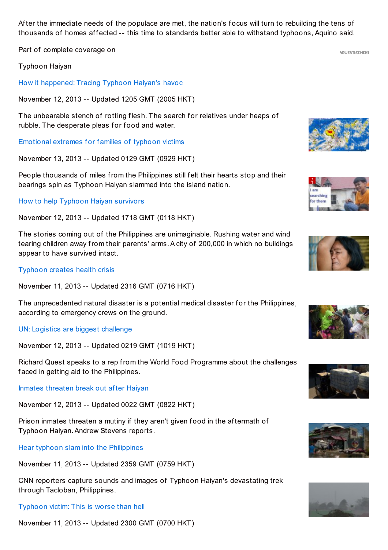After the immediate needs of the populace are met, the nation's focus will turn to rebuilding the tens of thousands of homes affected -- this time to standards better able to withstand typhoons, Aquino said.

Part of complete coverage on

Typhoon Haiyan

How it [happened:](http://edition.cnn.com/2013/11/12/world/asia/typhoon-haiyan-tic-toc/index.html?iid=article_sidebar) Tracing Typhoon Haiyan's havoc

November 12, 2013 -- Updated 1205 GMT (2005 HKT)

The unbearable stench of rotting flesh. The search for relatives under heaps of rubble. The desperate pleas for food and water.

[Emotional](http://edition.cnn.com/2013/11/12/world/asia/typhoon-haiyan-people/index.html?iid=article_sidebar) extremes for families of typhoon victims

November 13, 2013 -- Updated 0129 GMT (0929 HKT)

People thousands of miles from the Philippines still felt their hearts stop and their bearings spin as Typhoon Haiyan slammed into the island nation.

How to help Typhoon Haiyan [survivors](http://edition.cnn.com/2013/11/09/world/iyw-how-to-help-typhoon-haiyan/index.html?iid=article_sidebar)

November 12, 2013 -- Updated 1718 GMT (0118 HKT)

The stories coming out of the Philippines are unimaginable. Rushing water and wind tearing children away from their parents' arms.A city of 200,000 in which no buildings appear to have survived intact.

#### [Typhoon](http://edition.cnn.com/2013/11/11/health/typhoon-medical-crisis/index.html?iid=article_sidebar) creates health crisis

November 11, 2013 -- Updated 2316 GMT (0716 HKT)

The unprecedented natural disaster is a potential medical disaster for the Philippines, according to emergency crews on the ground.

UN: Logistics are biggest [challenge](http://edition.cnn.com/video/data/2.0/video/world/2013/11/11/philippines-typhoon-haiyan-world-food-programme-intv.cnn.html?iid=article_sidebar)

November 12, 2013 -- Updated 0219 GMT (1019 HKT)

Richard Quest speaks to a rep from the World Food Programme about the challenges f aced in getting aid to the Philippines.

Inmates [threaten](http://edition.cnn.com/video/data/2.0/video/world/2013/11/11/philippines-typhoon-prison-problems-stevens-pkg.cnn.html?iid=article_sidebar) break out af ter Haiyan

November 12, 2013 -- Updated 0022 GMT (0822 HKT)

Prison inmates threaten a mutiny if they aren't given food in the aftermath of Typhoon Haiyan.Andrew Stevens reports.

Hear typhoon slam into the [Philippines](http://edition.cnn.com/video/data/2.0/video/us/2013/11/11/tsr-nats-typhoon-haiyan-devastation.cnn.html?iid=article_sidebar)

November 11, 2013 -- Updated 2359 GMT (0759 HKT)

CNN reporters capture sounds and images of Typhoon Haiyan's devastating trek through Tacloban, Philippines.

[Typhoon](http://edition.cnn.com/video/data/2.0/video/world/2013/11/11/tsr-todd-tacloban-haiyan-typhoon.cnn.html?iid=article_sidebar) victim: This is worse than hell

November 11, 2013 -- Updated 2300 GMT (0700 HKT)















**ADUERTISEMENT**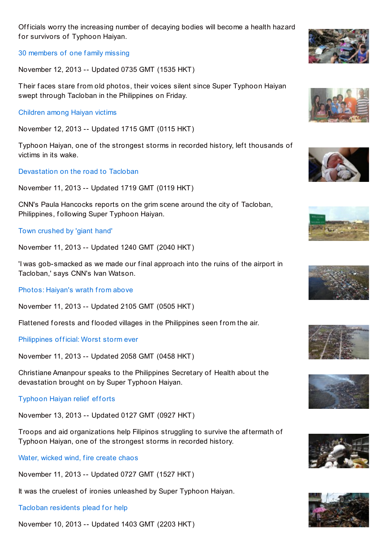November 10, 2013 -- Updated 1403 GMT (2203 HKT)

Officials worry the increasing number of decaying bodies will become a health hazard for survivors of Typhoon Haiyan.

30 [members](http://edition.cnn.com/2013/11/11/world/asia/typhoon-haiyan-tacloban-tan-family-missing/index.html?iid=article_sidebar) of one family missing

November 12, 2013 -- Updated 0735 GMT (1535 HKT)

Their faces stare from old photos, their voices silent since Super Typhoon Haiyan swept through Tacloban in the Philippines on Friday.

[Children](http://edition.cnn.com/2013/11/11/world/gallery/typhoon-haiyan-victims/index.html?iid=article_sidebar) among Haiyan victims

November 12, 2013 -- Updated 1715 GMT (0115 HKT)

Typhoon Haiyan, one of the strongest storms in recorded history, left thousands of victims in its wake.

[Devastation](http://edition.cnn.com/video/data/2.0/video/world/2013/11/11/hancocks-philippines-road-to-tacloban.cnn.html?iid=article_sidebar) on the road to Tacloban

November 11, 2013 -- Updated 1719 GMT (0119 HKT)

CNN's Paula Hancocks reports on the grim scene around the city of Tacloban, Philippines, following Super Typhoon Haiyan.

Town [crushed](http://edition.cnn.com/2013/11/11/world/asia/philippines-typhoon-haiyan-destruction-watson/index.html?iid=article_sidebar) by 'giant hand'

November 11, 2013 -- Updated 1240 GMT (2040 HKT)

'I was gob-smacked as we made our f inal approach into the ruins of the airport in Tacloban,' says CNN's Ivan Watson.

Photos: [Haiyan's](http://edition.cnn.com/2013/11/11/asia/gallery/haiyan-aerials/index.html?iid=article_sidebar) wrath from above

November 11, 2013 -- Updated 2105 GMT (0505 HKT)

Flattened forests and flooded villages in the Philippines seen from the air.

[Philippines](http://edition.cnn.com/video/data/2.0/video/world/2013/11/11/philippines-typhoon-enrique-ona-amanpour-intv.cnn.html?iid=article_sidebar) of ficial: Worst storm ever

November 11, 2013 -- Updated 2058 GMT (0458 HKT)

Christiane Amanpour speaks to the Philippines Secretary of Health about the devastation brought on by Super Typhoon Haiyan.

[Typhoon](http://edition.cnn.com/2013/11/11/asia/gallery/typhoon-haiyan-relief/index.html?iid=article_sidebar) Haiyan relief efforts

November 13, 2013 -- Updated 0127 GMT (0927 HKT)

Troops and aid organizations help Filipinos struggling to survive the af termath of Typhoon Haiyan, one of the strongest storms in recorded history.

Water, [wicked](http://edition.cnn.com/2013/11/09/world/asia/storm-chaser-tacloba-super-typhoon-haiyan/index.html?iid=article_sidebar) wind, fire create chaos

November 11, 2013 -- Updated 0727 GMT (1527 HKT)

It was the cruelest of ironies unleashed by Super Typhoon Haiyan.

Tacloban [residents](http://edition.cnn.com/video/data/2.0/video/world/2013/11/10/pkg-stevens-philippines-typhoon-tacloban-city.cnn.html?iid=article_sidebar) plead for help

















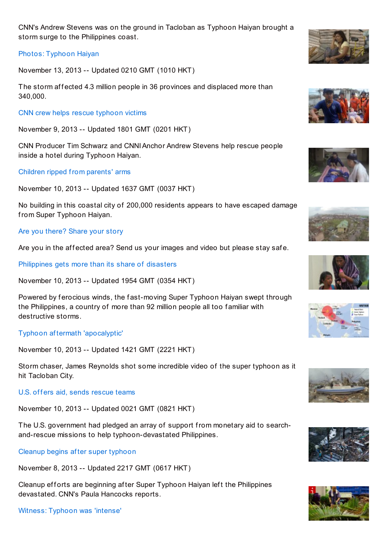Witness: [Typhoon](http://edition.cnn.com/video/data/2.0/video/bestoftv/2013/11/08/exp-lead-intv-philippines-typhoon-witness-incredibly-intense.cnn.html?iid=article_sidebar) was 'intense'

CNN's Andrew Stevens was on the ground in Tacloban as Typhoon Haiyan brought a storm surge to the Philippines coast.

#### Photos: [Typhoon](http://edition.cnn.com/2013/11/07/asia/gallery/typhoon-haiyan/index.html?iid=article_sidebar) Haiyan

November 13, 2013 -- Updated 0210 GMT (1010 HKT)

The storm affected 4.3 million people in 36 provinces and displaced more than 340,000.

CNN crew helps rescue [typhoon](http://edition.cnn.com/video/data/2.0/video/weather/2013/11/09/raw-inside-typhoon-philippines-rescue.james-reynolds-uncut-productions.html?iid=article_sidebar) victims

November 9, 2013 -- Updated 1801 GMT (0201 HKT)

CNN Producer Tim Schwarz and CNNIAnchor Andrew Stevens help rescue people inside a hotel during Typhoon Haiyan.

[Children](http://edition.cnn.com/2013/11/09/world/asia/philippines-tacloban/index.html?iid=article_sidebar) ripped from parents' arms

November 10, 2013 -- Updated 1637 GMT (0037 HKT)

No building in this coastal city of 200,000 residents appears to have escaped damage from Super Typhoon Haiyan.

# Are you [there?](http://ireport.cnn.com/topics/1057748?hpt=hp_t1&iid=article_sidebar) Share your story

Are you in the affected area? Send us your images and video but please stay safe.

[Philippines](http://edition.cnn.com/2013/11/08/world/asia/philippines-typhoon-destruction/index.html?iid=article_sidebar) gets more than its share of disasters

November 10, 2013 -- Updated 1954 GMT (0354 HKT)

Powered by ferocious winds, the fast-moving Super Typhoon Haiyan swept through the Philippines, a country of more than 92 million people all too f amiliar with destructive storms.

# Typhoon af termath ['apocalyptic'](http://edition.cnn.com/video/data/2.0/video/world/2013/11/10/natpkg-philippines-typhoon-storm-chaser.james-reynolds-uncut-productions.html?iid=article_sidebar)

November 10, 2013 -- Updated 1421 GMT (2221 HKT)

Storm chaser, James Reynolds shot some incredible video of the super typhoon as it hit Tacloban City.

U.S. offers aid, sends [rescue](http://edition.cnn.com/2013/11/09/world/asia/philippines-typhoon-us-assistance/index.html?iid=article_sidebar) teams

November 10, 2013 -- Updated 0021 GMT (0821 HKT)

The U.S. government had pledged an array of support from monetary aid to searchand-rescue missions to help typhoon-devastated Philippines.

Cleanup begins af ter super [typhoon](http://edition.cnn.com/video/data/2.0/video/world/2013/11/08/philippines-typhoon-cleanup-begins-hancocks.cnn.html?iid=article_sidebar)

November 8, 2013 -- Updated 2217 GMT (0617 HKT)

Cleanup efforts are beginning after Super Typhoon Haiyan left the Philippines devastated. CNN's Paula Hancocks reports.